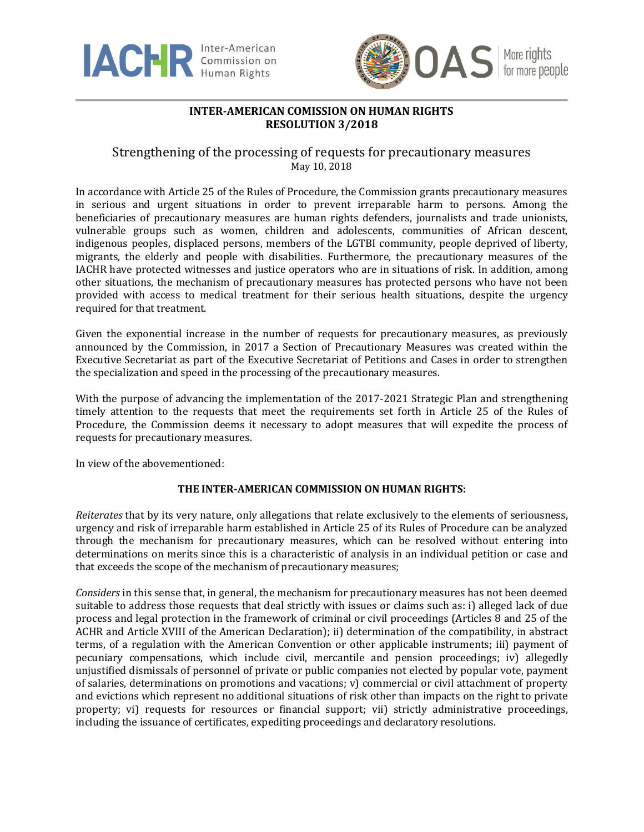



## **INTER-AMERICAN COMISSION ON HUMAN RIGHTS RESOLUTION 3/2018**

## Strengthening of the processing of requests for precautionary measures May 10, 2018

In accordance with Article 25 of the Rules of Procedure, the Commission grants precautionary measures in serious and urgent situations in order to prevent irreparable harm to persons. Among the beneficiaries of precautionary measures are human rights defenders, journalists and trade unionists, vulnerable groups such as women, children and adolescents, communities of African descent, indigenous peoples, displaced persons, members of the LGTBI community, people deprived of liberty, migrants, the elderly and people with disabilities. Furthermore, the precautionary measures of the IACHR have protected witnesses and justice operators who are in situations of risk. In addition, among other situations, the mechanism of precautionary measures has protected persons who have not been provided with access to medical treatment for their serious health situations, despite the urgency required for that treatment.

Given the exponential increase in the number of requests for precautionary measures, as previously announced by the Commission, in 2017 a Section of Precautionary Measures was created within the Executive Secretariat as part of the Executive Secretariat of Petitions and Cases in order to strengthen the specialization and speed in the processing of the precautionary measures.

With the purpose of advancing the implementation of the 2017-2021 Strategic Plan and strengthening timely attention to the requests that meet the requirements set forth in Article 25 of the Rules of Procedure, the Commission deems it necessary to adopt measures that will expedite the process of requests for precautionary measures.

In view of the abovementioned:

## **THE INTER-AMERICAN COMMISSION ON HUMAN RIGHTS:**

*Reiterates* that by its very nature, only allegations that relate exclusively to the elements of seriousness, urgency and risk of irreparable harm established in Article 25 of its Rules of Procedure can be analyzed through the mechanism for precautionary measures, which can be resolved without entering into determinations on merits since this is a characteristic of analysis in an individual petition or case and that exceeds the scope of the mechanism of precautionary measures;

*Considers* in this sense that, in general, the mechanism for precautionary measures has not been deemed suitable to address those requests that deal strictly with issues or claims such as: i) alleged lack of due process and legal protection in the framework of criminal or civil proceedings (Articles 8 and 25 of the ACHR and Article XVIII of the American Declaration); ii) determination of the compatibility, in abstract terms, of a regulation with the American Convention or other applicable instruments; iii) payment of pecuniary compensations, which include civil, mercantile and pension proceedings; iv) allegedly unjustified dismissals of personnel of private or public companies not elected by popular vote, payment of salaries, determinations on promotions and vacations; v) commercial or civil attachment of property and evictions which represent no additional situations of risk other than impacts on the right to private property; vi) requests for resources or financial support; vii) strictly administrative proceedings, including the issuance of certificates, expediting proceedings and declaratory resolutions.